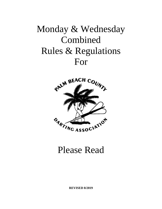# Monday & Wednesday Combined Rules & Regulations For



# Please Read

**REVISED 8/2019**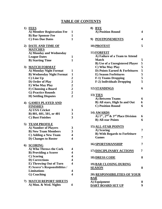# **TABLE OF CONTENTS**

| 1)  | <b>FEES</b>                      |                                                 |
|-----|----------------------------------|-------------------------------------------------|
|     | A) Member Registration Fee       | 1                                               |
|     | <b>B)</b> Bar Sponsor Fee        | 1                                               |
|     | <b>C)</b> Fees Due Dates         | $\mathbf{1}$                                    |
| 2)  | DATE AND TIME OF                 |                                                 |
|     | <b>MATCHES</b>                   |                                                 |
|     | A) Monday and Wednesday          |                                                 |
|     | <b>League Dates</b>              | 1                                               |
|     | <b>B)</b> Starting Time          | 1                                               |
| 3)  | <b>MATCH FORMAT</b>              |                                                 |
|     | A) Monday Night Format           | 1                                               |
|     | <b>B) Wednesday Night Format</b> | $\mathbf{1}$                                    |
|     | C) Line Up                       | $\boldsymbol{2}$                                |
|     | D) Order of Play                 |                                                 |
|     | E) Who May Play                  |                                                 |
|     | F) Choosing a Board              |                                                 |
|     | <b>G) Practice Rounds</b>        |                                                 |
|     | <b>H) Settling Disputes</b>      | $\begin{array}{c} 2 \\ 2 \\ 2 \\ 2 \end{array}$ |
|     | 4) GAMES PLAYED AND              |                                                 |
|     | <b>FINISHES</b>                  |                                                 |
|     | A) USA Cricket                   | 3                                               |
|     | B) 801, 601, 501, or 401         | 3                                               |
|     | <b>C)</b> Bust Finishes          | 3                                               |
| 5)  | <b>TEAM PROFILE</b>              |                                                 |
|     | A) Number of Players             | 3                                               |
|     | <b>B) New Team Members</b>       | 3                                               |
|     | C) Adding a New Team             | 4                                               |
|     | <b>D)</b> Changes to Roster      | 4                                               |
|     | 6) <b>SCORING</b>                |                                                 |
|     | A) Who Throws the Cork           | 4                                               |
|     | <b>B)</b> Providing a Scorer     | 4                                               |
|     | C) Scoring                       | 4                                               |
|     | <b>D)</b> Corrections            | 4                                               |
|     | <b>E) Throwing Out of Turn</b>   | 4                                               |
|     | F) Scorer's Responsibilities /   |                                                 |
|     | <b>Limitations</b>               | 4                                               |
|     | G) Coaching                      | 4                                               |
|     |                                  |                                                 |
| 7). | <b>MATCH REPORT SHEETS</b>       |                                                 |
|     | A) Mon. & Wed. Nights            | 4                                               |
|     |                                  |                                                 |

| 8)<br><b>BYE</b><br>A) Position Round                                 | 4 |
|-----------------------------------------------------------------------|---|
| 9) POSTPONEMENTS                                                      | 4 |
| 10) PROTEST                                                           | 5 |
| 11) FORFEIT                                                           |   |
| A) Failure of a Team to Attend                                        |   |
| <b>Match</b>                                                          | 5 |
| <b>B</b> ) Use of a Unregistered Player                               | 5 |
| C) Who May Play                                                       | 5 |
| D) Points Earned & Forfeitures                                        | 5 |
| <b>E)</b> Season Forfeitures                                          | 5 |
| <b>F-1) Teams Dropping</b>                                            | 5 |
| <b>F-2)</b> Individuals Dropping                                      | 5 |
| 12) STANDINGS                                                         | 6 |
| <b>13) TIES</b>                                                       |   |
| A) Between Teams                                                      | 6 |
| B) All stars, High In and Out                                         | 6 |
| <b>C) Position Round</b>                                              | 6 |
| 14) AWARDS                                                            |   |
| A) 1 <sup>st</sup> , 2 <sup>nd</sup> & 3 <sup>rd</sup> Place Division | 6 |
| <b>B)</b> All-star Points                                             | 6 |
|                                                                       |   |
| <b>15) ALL-STAR POINTS</b>                                            |   |
| A) Scoring                                                            | 7 |
| <b>B) With Regards to Forfeiture</b>                                  |   |
| <b>Games</b>                                                          | 7 |
| 16) SPORTSMANSHIP                                                     | 7 |
| <b>17) DISCIPLINARY ACTIONS</b>                                       | 7 |
| <b>18) DRESS CODE</b>                                                 | 8 |
| 19) BAR CLOSING DURING                                                |   |
| <b>SEASON</b>                                                         | 8 |
| <b>20) RESPONSIBILITIES OF YOUR</b>                                   |   |
| <b>BAR</b>                                                            |   |
| A) Equipment                                                          | 8 |
| <b>DART BOARD SET UP</b>                                              | 9 |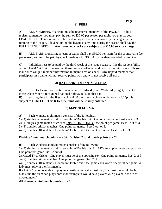# **1) FEES**

**A)** ALL MEMBERS of a team must be registered members of the PBCDA. To be a registered member you must pay the sum of \$30.00 per season per night you play as your LEAGUE FEE. This amount will be used to pay all charges incurred by the league in the running of the league. Players joining the league at any time during the season shall pay the FULL LEAGUE FEES. **Any returned checks are subject to a \$25.00 service charge.**

**B)** ALL BARS sponsoring a team or teams shall pay \$50.00 per team for the sponsorship fee per season, and must be paid by check made out to PBCDA by the date provided by invoice.

**C)** Individual fees to be paid by the third week of the league season. It is the responsibility of the TEAM CAPTAIN to see that these fees are collected and paid by the third week. Please make sure you put member information in memo area on check. Any unpaid member that participates in a game will not receive points won and will not receive all-stars.

# **2) DATE AND TIME OF MATCHES**

**A)** PBCDA league competition is schedule for Monday and Wednesday night, except for those weeks when a recognized national holiday falls on that day.

**B)** Starting time for the first match is 8:00 pm... A match not underway by 8:15pm is subject to FORFEIT. **This 8:15 time limit will be strictly enforced.**

# **3) MATCH FORMAT**

**A)** Each Monday night match consists of the following…

**1)** (4) singles game match of 401. Straight in/Double out. One point per game. Best 2 out of 3.

**2)** (4) singles game match of cricket. **DIVISION 1 ONLY** One point per game. Best 2 out of 3.

**3)** (2) doubles cricket matches. One point per game. Best 2 out of 3.

**4)** (2) doubles 501 matches. Double in/Double out. One point per game. Best 2 out of 3.

# **Division 1 total match points are 36. Division 2 total match points are 24.**

**B)** Each Wednesday night match consists of the following…

**1)** (4) singles game match of 401. Straight in/Double out. A LADY must play in second position. One point per game. Best 2 out of 3.

**2)** Mixed Trios Cricket. One player must be of the opposite sex. One point per game. Best 2 of 3. **3**) (2) doubles cricket matches. One point per game. Best 2 of 3.

**4**) (2) doubles 501 matches. Double in/Double out. One game each worth one point per game. A lady must play in the first match.

If a LADY is not available to play in a position were she must play that position would be left blank and the team can play short. (for example it would be 3 players vs 2 players in the trios cricket match)

# **All divisions total match points are 23.**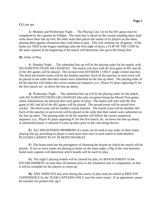#### **C)** Line ups

**1**) Monday and Wednesday Night… The Playing Line Up for the 401 game must be completed by the captains by 8:00pm. The team that is ahead on the current standing sheet shall write down their line up first, the other team then places the names of its players on the sheet, playing them against whomever they wish them to play. This will continue for all games. If the teams are TIED in the league standings (also the first night of play), a FLIP OF THE COIN by the team captains at the beginning of the match will determine who gives the lineup first.

# **D)** Order of Play

**1**) Monday Night… The submitted line up will be the playing order for the match, with NO SUBSTITUTIONS OR CHANGES. The match will start with the first game of 401 and all of the 401 games will be played. The second event DIVISION 1 ONLY single cricket matches. The third and fourth events will be the doubles matches. Each of the matches in each event will be played in the order that their names were submitted on the line up sheet. The playing order of all the matches will follow the correct numerical sequence, (i.e., Player #1 plays opposing #1 for the first match, etc. on down the line up sheet).

**2)** Wednesday Night… The submitted line up will be the playing order for the match, with NO SUBSTITUTIONS OR CHANGES (the only exception being the Mixed Trios game, where substitutions are allowed after each game of trios). The match will start with the first game of 401 and all of the 401 games will be played. The second event will be mixed trios cricket. The third event will be doubles cricket matches. The fourth event will be doubles 501. Each of the matches in each event will be played in the order that their names were submitted on the line up sheet. The playing order of all the matches will follow the correct numerical sequence, (i.e., Player #1 plays opposing #1 for the first match, etc. on down the line up sheet). A substituted player is allowed 9 warm up darts prior to the cork being thrown.

**E**) ALL REGISTERED MEMBERS of a team can be used in any order on their teams playing line up, providing no player is used more than once in each match or both doubles. PLAYERS CANNOT PLAY IN BOTH DOUBLES.

**F**) The home team has the prerogative of choosing the boards on which the match will be played. If two or more teams are playing at home on the same night, a flip of the coin between home team captains will determine which boards will be used for play.

**G**) The night's playing boards will be cleared for play, by MANAGEMENT of the ESTABLISHMENT no later than 30 minutes prior to the scheduled start of competition, so that it will be available for the players to warm up.

**H**) ANY DISPUTES that arise during the course of play must be settled in PRIVATE CONFERENCE by the TEAM CAPTAINS ONLY (not the entire team). If an agreement cannot be reached, see protest rule; pg 5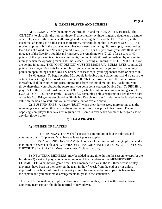#### **4) GAMES PLAYED AND FINISHES**

**A**) CRICKET. Only the number 20 through 15 and the BULLS-EYE are used. The OBJECT is to close (hit the number three (3) times, either by three singles, a double and a single or a triple) each of the numbers 20 through and including the 15 and the BULLS-EYE, in the event that an inning is hit four (4) or more times, the team doing this is awarded SCORE. This scoring applies only if the opposing team has not closed the inning. For example, the opposing team has not closed their 20's and you hit five (5) 20's. For this you close your 20's (that takes three (3) of the five 20's you hit) and you score the remaining two (2) 20's for a score of 40 points. If the opposing team is ahead in points, the point deficit must be made up by scoring in innings which the opposing team is still not closed. Closing all innings is NOT ENOUGH if you are behind in points. THE POINT DEFICIT MUST BE MADE UP. BULLS-EYES count as 25 points for a single, 50 points for a double. If you are behind on score you must score enough points on open innings or the BULLS-EYES to at least equal your opponents score or exceed it.

**B**) 01 games. To begin scoring 501 double in/double out, a player must land a dart in the outer (Double) ring of the board or a Double Bull. That dart, together with the darts thrown thereafter, shall be counted for score, subtracting from the initial 501 points. Each time you throw thereafter, you subtract the score until you get a point you can Double Out. To FINISH, a player's last thrown dart must land in a DOUBLE, which would reduce his remaining score to EXACTLY ZERO. For example... a score of 32 remaining points resulting in a last thrown dart of double 16. 401 games are played as Single in / Double out, the first dart may be landed in any value on the board to start, but you must double out as explain above.

**C**) BUST FINISHES. A player "BUST" when their dart(s) score more points than the remaining score. When this occurs, the score remains as it was prior to his throw. The next opposing team player then takes his regular turn. Game is over when double is hit regardless of any dart thrown after.

#### **5) TEAM PROFILE**

#### **A**) NUMBER OF PLAYERS

**1)** A MONDAY TEAM shall consist of a minimum of four (4) players and maximum of six (6) players, Must have at least 2 players to play.

**2**) A WEDNESDAY TEAM shall consist of a minimum of four (4) players and a maximum of seven (7) players, WEDNESDAY LEAGUE SHALL INCLUDE AT LEAST ONE OPPOSITE SEX PLAYER. Must have at least 2 players to play.

**B**) NEW TEAM MEMBERS, may be added at any time during the season, except for the last three (3) weeks of play, upon contacting one of the members of the MEMBERSHIP COMMITTEE 24 hrs before game time. For a member to play in the last three weeks of play they must have been on the roster on the team in the 4<sup>th</sup> week from the end or prior unless approved by the board of directors majority vote. The new member must pay his league fee to the captain and you must make arrangements to get it to the statistician.

There will be no switching of players from one team to another, except with board approval. Opposing team captain should be notified of new player.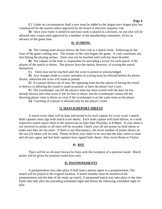**Page 4**

**C**) Under no circumstances shall a new team be added to the league once league play has commenced for the season unless approved by the board of directors majority vote.

**D**) Once your roster is turned in and your team is placed in a division, no one else will be allowed onto a team until approved by a member of the membership committee, 24 hrs in advance of the game time.

### **6) SCORING**

**A**) The visiting team always throws the first cork in a match event. Following by the loser of the game corking next. The winner of the cork begins the game. A cork constitutes any dart hitting the playing surface. Darts may not be touched until cork has been decided.

**B**) The captain of the team is responsible for providing a scorer for each match, if the players of the match so desire. The players have the option, however, of scoring the match themselves.

**C**) Darts may not be touched until the score is posted or acknowledged.

**D**) Any changes made to correct mistakes in scoring must be effected before the player throws, otherwise the score will stand as posted.

**E**) If a player throws out of turn, the opposing team has the option of having the round re-thrown or allowing the round to stand as posted, or have the player lose a turn.

**F**) The scorekeeper can tell the players what has been scored with the darts he has already thrown and what score is left for him to throw, but the scorekeeper cannot tell the throwing player what to throw at, even if the scorekeeper is on the same team as the player.

**G)** Coaching of a player is allowed only by the player's team.

#### **7) MATCH REPORT SHEETS**

A match score sheet will be kept and turned in by each captain for every week's match. Both captains must sign both match score sheets. Each team captain will hand deliver, or e-mail respective match report sheet to the statistician no later than Thursday at 8:00pm. If your sheet is not received no points or all-stars will be awarded. Check your all-star points on both sheets to make sure they are the same. If there is any discrepancy, the lower number of points shown on the two (2) sheets will be used. Please recheck your sheet to be sure that the date, name of team and all-stars agree and that both captains have signed both sheets. Also circle Home or Visitor.

#### **8) BYE**

There will be no all-stars thrown for byes with the exception of a position round. Match points will be given for position round byes only.

#### **9) POSTPONEMENTS**

A postponement may take place if both team captains agree to a postponement. The match will be played at the original location. A board member must be notified of the postponement and the date of the make up match. A postponed match may take place in the time frame that falls after the preceding scheduled night and before the following scheduled night of play.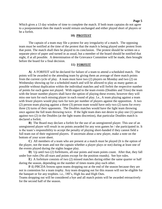Which gives a 13 day window of time to complete the match. If both team captains do not agree to a postponement then the match would remain unchanged and either played short of players or be a forfeit.

# **10) PROTEST**

The captain of a team may file a protest for any irregularity of a match. The opposing team must be notified at the time of the protest that the match is being played under protest from that point. The match shall then be played to its conclusion. The protest should be written on a separate piece of paper and turned in as usual, but a member of the board should be notified that night, if at all possible. A determination of the Grievance Committee will be made, then brought before the board for a final decision.

#### **11) FORFEIT**

**A**) A FORFEIT will be declared for failure of a team to attend a scheduled match. The points will be awarded to the attending team by giving them an average of there match points from the current cycle of play. A team must have two (2) players on Monday and two (2) on Wednesday showing up for a scheduled match and will be allowed to play as many games as possible without duplication within the individual matches and will forfeit the respective number of points for each game not played. With regard to the team events (Doubles and Trios) the team with the lesser number players shall have the option of playing these events; however they will miss one turn for each missing player in each round of play. I.e., A team playing against a team with fewer players would play turn for turn per number of players against the opposition. A two (2) person team playing against a three (3) person team would have only two (2) turns for every three (3) turns of their opponents. The Doubles matches would have the light team throwing once against the full team throwing twice. If the light team does not desire to play one (1) person against two (2) in the Doubles (at the light teams discretion), that particular Doubles match is declared a forfeit.

**B**) The Board may declare a forfeit for the use of an unregistered player. This use of an unregistered player will result in no points awarded for any won games he / she participated in. It is the team's responsibility to accept the penalty of playing short-handed if they cannot field a full team out of their registered players. If uncertain about a new player, make a note on the bottom of your score sheet.

**C**) All members of a team who are present at a match must be played (It is the option of the player, not the team and not the captain whether a player plays or not) during at least one of the events played during the nights league play.

**D**) Up until two (2) forfeitures, all-star points and team points count. After that, they fall under bye rules (No all-stars and points except for the position rounds). See bye rules.

**E**) A forfeiture consists of two (2) missed matches during either the same quarter or half during the season, depending on the number of times teams play each other.

**F-1**) PBCDA frowns upon teams dropping out at the end of the season because they are not in contention for a team trophy. Any team dropping out for this reason will not be eligible for the banquet or for any trophies. i.e., 180's, High Ins and High Outs.

Teams dropping out will be considered a bye and all match points will be awarded retroactively for the second half of the season.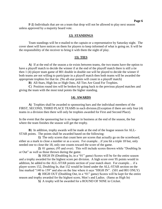**F-2**) Individuals that are on a team that drop will not be allowed to play next season unless approved by a majority board vote.

# **12) STANDINGS**

Team standings will be e-mailed to the captain or a representative by Saturday night. The cover sheet will have notices on them for players to keep informed of what is going on. It will be the responsibility of the receiver to bring it with them the night of play.

# **13) TIES**

**A**) If at the end of the season a tie exists between teams, the two teams have the option to have a playoff match to decide the winner if at the end of the playoff match there is still a tie then 1 (4) player team game of 801 double in double out will be played to decide the winner if both teams are not willing to participate in a playoff match then both teams will be awarded the appropriate trophies for that tie. (No all-star points will count in a playoff match)

**B**) All-Stars, High Ins or High Outs, All Ties Are Good For Trophies.

**C**) Position round ties will be broken by going back to the previous played matches and giving the team with the most total points the higher standing.

# **14) AWARDS**

**A**) Trophies shall be awarded to sponsoring bars and the individual members of the FIRST, SECOND, THIRD PLACE TEAMS in each division.(Exception if there are only four (4) teams in a division then there will only be trophies awarded for First and Second Place).

In the event that the sponsoring bar is no longer in business at the end of the season, the bar where the team finishes the season will get the trophy.

**B**) In addition, trophy awards will be made at the end of the league season for ALL-STAR points. The points shall be awarded based on the following:

**1)** The only scores that count here are scores that actually go on the scoreboard, either as a mark to close a number or as a score. For example…if you hit a triple 18 but, only needed one to close the 18, only one counts toward the score of the game.

**2)** 01 games; (95 and over). This will include scores thrown while "Doubling In or Out" as well as those thrown during the game.

**3)** HIGH IN (Doubling In, in a "01" game) Scores will be for the entire season and a trophy awarded for the highest score per division. A high score over 95 points would in addition, be added to the ALL-STAR points section of your match sheet. For example… if a player scores 152, Doubling In, that 152 would be listed under the ALL-STAR section on the line marked "140 to 159" and also on the line where it says "HIGH IN". (501 and 801 ONLY)

**4)** HIGH OUT (Doubling Out, in a "01" game) Scores will be kept for the entire season and trophy awarded for the highest score, Men's and Ladies. (Same as High In)

**5)** A trophy will be awarded for a ROUND OF NINE in Cricket.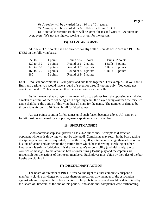**6)** A trophy will be awarded for a 180 in a "01" game.

**7)** A trophy will be awarded for 6 BULLS-EYES in Cricket.

**8)** Honorable Mention trophies will be given for Ins and Outs of 120 points or over, even if it's not the highest scoring in or out for the season.

#### **15) ALL-STAR POINTS**

**A)** ALL-STAR points shall be awarded for High "01", Rounds of Cricket and BULLS-EYES on the following basis.

| 95 to 119  | 1 point  | Round of 5 1 point  |  | 3 Bulls 2 points |
|------------|----------|---------------------|--|------------------|
| 120 to 139 | 2 points | Round of 6 2 points |  | 4 Bulls 3 points |
| 140 to 159 | 3 points | Round of 7 3 points |  | 5 Bulls 4 points |
| 160 to 179 | 4 points | Round of 8 4 points |  | 6 Bulls 5 points |
| 180        | 5 points | Round of 9 5 points |  |                  |

NOTE: You cannot combine all-star points and add them together. For example… if you shot 4 Bulls and a triple, you would have a round of seven for three (3) points only. You could not count the round of 7 plus count another 3 all-star points for the Bulls.

**B**) In the event that a player is not matched up to a player from the opposing team during a match as a result of there not being a full opposing team, the player being awarded the forfeited game shall have the option of throwing their all-stars for the game. The number of darts to be thrown is as follows… 30 Darts for all forfeited games.

All-star points count in forfeit games until such forfeit becomes a bye. All-stars on a forfeit must be witnessed by a opposing team captain or a board member.

#### **16) SPORTSMANSHIP**

Good sportsmanship shall prevail all PBCDA functions. Attempts to distract an opponent while he is throwing will not be tolerated! Complaints may result in the board taking disciplinary action. As so requested, by the thrower, all spectators must align themselves out of his line of vision and /or behind the position from which he is throwing. Heckling or other harassment is strictly forbidden. It is the home team's responsibility (and ultimately, the bar owner's or manager) to maintain the best of order during league play and the captains are responsible for the actions of their team members. Each player must abide by the rules of the bar he/she are playing in.

#### **17) DISCIPLINARY ACTION**

The board of directors of PBCDA reserve the right to either completely suspend a member's playing privileges or to place them on probation, any member of the association against whom complaints have been received. The probationary period would be determined by the Board of Directors, at the end of this period, if no additional complaints were forthcoming,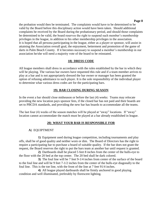the probation would then be terminated. The complaints would have to be determined to be valid by the Board before this disciplinary action would have been taken. Should additional complaints be received by the Board during the probationary period, and should those complaints be determined to be valid, the board reserves the right to suspend such member's membership privileges in the league, in addition to his other membership privileges in the association. It is hoped that all persona participating in the league, either as a player or sponsor, will assist in attaining the Association overall goal, the enjoyment, betterment and promotion of the game of darts in Palm Beach County. If it becomes necessary to suspend a member's membership in our association he/she will need a majority vote of the board to be reinstated.

# **18) DRESS CODE**

All league members shall dress in accordance with the rules established by the bar in which they will be playing. The various bar owners have requested this rule and if a team member arrives to play at a bar and is not appropriately dressed the bar owner or manager has been granted the option of refusing admittance to such player. It is the sole responsibility of the individual player to determine what various dress codes are for the participating bars.

# **19) BAR CLOSING DURING SEASON**

In the event a bar should close midseason or before the last (4) weeks: Teams may relocate providing the new location pays sponsor fees, if the closed bar has not paid and their boards are set to PBCDA standards, and providing the new bar has boards to accommodate all the teams.

The last four (4) weeks of the season matches will be played at "away" locations. If "away" location cannot accommodate the match must be played at a bar already established in league.

# **20) WHAT YOUR BAR IS RESPONSIBLE FOR**

### **A**) EQUIPTMENT

**1)** Equipment used during league competition, including tournaments and play offs, shall be of good quality and neither worn or dim. The Board of Directors has the right to require a participating bar to purchase a board of suitable quality. If the bar does not grant the request, the Board reserves the right to put the bars team at another bar until request is granted.

**2)** Dartboards shall be placed 5 feet 8 inches from the center of the bulls-eye to the floor with the 20 bed at the top center. The 20 bed shall be dark colored.

**3)** The foul line will be 7 feet 9-1/4 inches from center of the surface of the board to the foul line and will be 9 feet 7-1/2 inches from the center of the bulls-eye diagonally to the foul line. This is the toe line, with the front of the line at 7 feet 91/4 inches.

**4)** All league played dartboards shall be firmly anchored in good playing condition and well illuminated, preferably by florescent lighting.